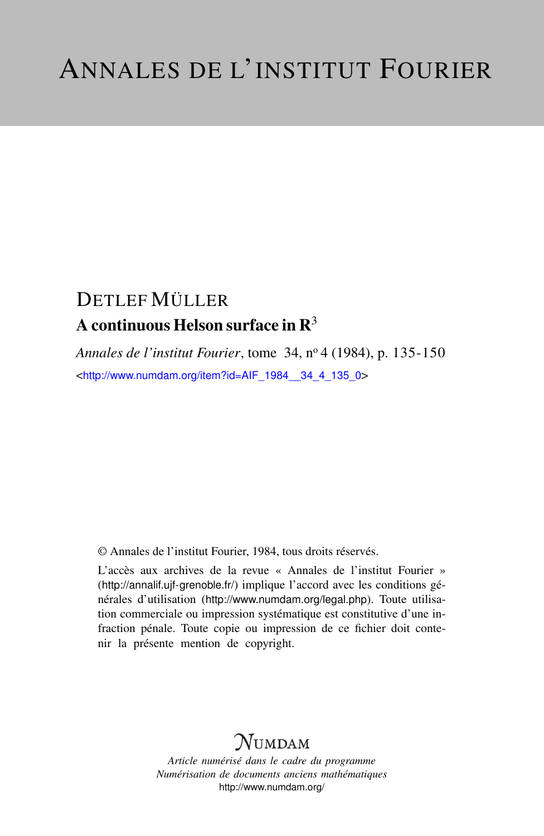# DETLEF MÜLLER A continuous Helson surface in  $\mathbb{R}^3$

*Annales de l'institut Fourier*, tome 34, n<sup>o</sup> 4 (1984), p. 135-150 <[http://www.numdam.org/item?id=AIF\\_1984\\_\\_34\\_4\\_135\\_0](http://www.numdam.org/item?id=AIF_1984__34_4_135_0)>

© Annales de l'institut Fourier, 1984, tous droits réservés.

L'accès aux archives de la revue « Annales de l'institut Fourier » (<http://annalif.ujf-grenoble.fr/>) implique l'accord avec les conditions générales d'utilisation (<http://www.numdam.org/legal.php>). Toute utilisation commerciale ou impression systématique est constitutive d'une infraction pénale. Toute copie ou impression de ce fichier doit contenir la présente mention de copyright.

# NUMDAM

*Article numérisé dans le cadre du programme Numérisation de documents anciens mathématiques* <http://www.numdam.org/>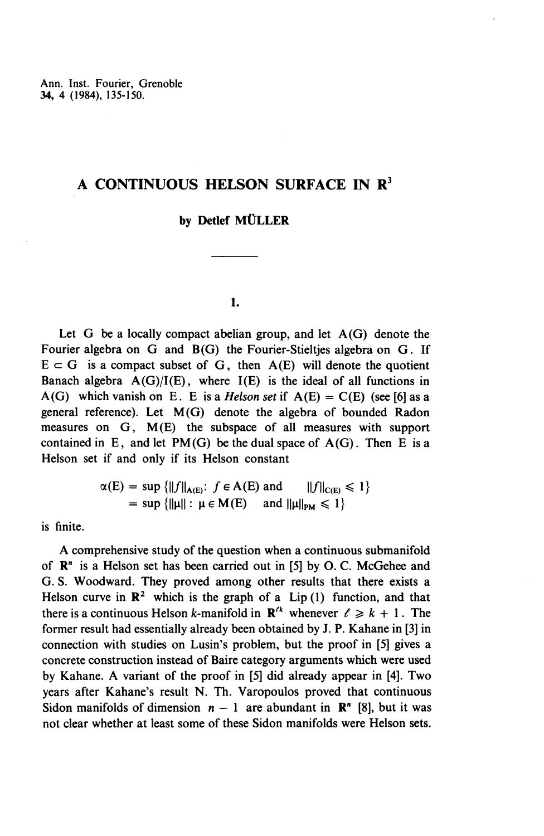# **A CONTINUOUS HELSON SURFACE IN R<sup>3</sup>**

# by Detlef MÜLLER

### **1.**

Let G be a locally compact abelian group, and let  $A(G)$  denote the Fourier algebra on G and B(G) the Fourier-Stielties algebra on G. If  $E \subset G$  is a compact subset of G, then A(E) will denote the quotient Banach algebra  $A(G)/I(E)$ , where  $I(E)$  is the ideal of all functions in A(G) which vanish on E. E is a *Helson set* if  $A(E) = C(E)$  (see [6] as a general reference). Let M(G) denote the algebra of bounded Radon measures on G, M(E) the subspace of all measures with support contained in E, and let  $PM(G)$  be the dual space of  $A(G)$ . Then E is a Helson set if and only if its Helson constant

$$
\alpha(E) = \sup \{ ||f||_{A(E)} : f \in A(E) \text{ and } ||f||_{C(E)} \leq 1 \}
$$
  
= 
$$
\sup \{ ||\mu|| : \mu \in M(E) \text{ and } ||\mu||_{PM} \leq 1 \}
$$

is finite.

A comprehensive study of the question when a continuous submanifold of  $\mathbb{R}^n$  is a Helson set has been carried out in [5] by O.C. McGehee and G. S. Woodward. They proved among other results that there exists a Helson curve in  $\mathbb{R}^2$  which is the graph of a Lip (1) function, and that there is a continuous Helson k-manifold in  $\mathbb{R}^{k}$  whenever  $\ell \geq k + 1$ . The former result had essentially already been obtained by J. P. Kahane in [3] in connection with studies on Lusin's problem, but the proof in [5] gives a concrete construction instead of Baire category arguments which were used by Kahane. A variant of the proof in [5] did already appear in [4]. Two years after Kahane's result N. Th. Varopoulos proved that continuous Sidon manifolds of dimension  $n - 1$  are abundant in  $\mathbb{R}^n$  [8], but it was not clear whether at least some of these Sidon manifolds were Helson sets.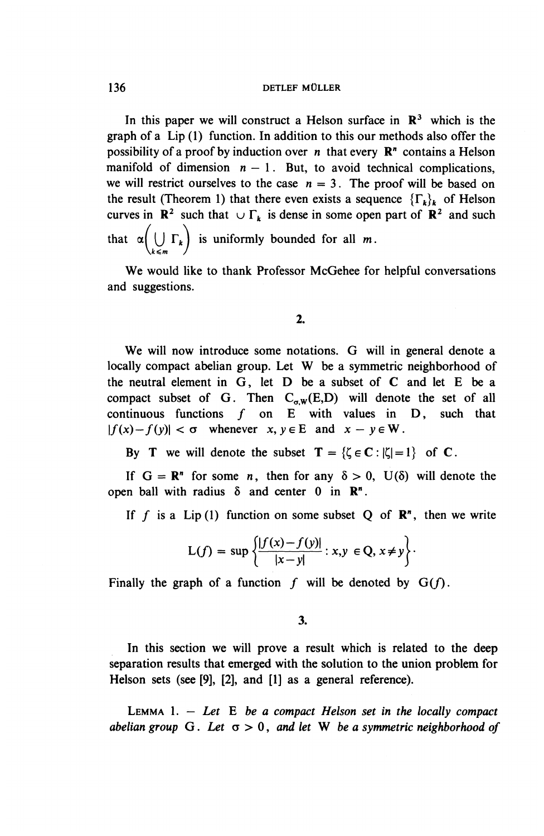In this paper we will construct a Helson surface in  $\mathbb{R}^3$  which is the graph of a Lip (1) function. In addition to this our methods also offer the possibility of a proof by induction over *n* that every R" contains a Helson manifold of dimension  $n - 1$ . But, to avoid technical complications, we will restrict ourselves to the case  $n = 3$ . The proof will be based on the result (Theorem 1) that there even exists a sequence  $\{\Gamma_k\}_k$  of Helson curves in  $\mathbb{R}^2$  such that  $\cup \Gamma_k$  is dense in some open part of  $\mathbb{R}^2$  and such that  $\alpha\left(\bigcup_{k\leq m} \Gamma_k\right)$  is uniformly bounded for all *m*.

We would like to thank Professor McGehee for helpful conversations and suggestions.

### 2.

**We** will now introduce some notations. G will in general denote a locally compact abelian group. Let W be a symmetric neighborhood of the neutral element in G, let D be a subset of C and let E be a compact subset of G. Then  $C_{\alpha w}(E,D)$  will denote the set of all compact subset of G. Then  $C_{\sigma,W}(E,D)$  will denote the set of a continuous functions f on E with values in D, such that continuous functions f on E with values in  $|f(x)-f(y)| < \sigma$  whenever  $x, y \in E$  and  $x - y \in W$ 

By T we will denote the subset  $T = \{ \zeta \in \mathbb{C} : |\zeta| = 1 \}$  of C.

If  $G = \mathbb{R}^n$  for some *n*, then for any  $\delta > 0$ ,  $U(\delta)$  will denote the open ball with radius  $\delta$  and center 0 in  $\mathbb{R}^n$ .

If f is a Lip(1) function on some subset Q of  $\mathbb{R}^n$ , then we write

$$
L(f) = \sup \left\{ \frac{|f(x) - f(y)|}{|x - y|} : x, y \in Q, x \neq y \right\}.
$$

Finally the graph of a function  $f$  will be denoted by  $G(f)$ .

**3.**

In this section we will prove a result which is related to the deep separation results that emerged with the solution to the union problem for Helson sets (see [9], [2], and [1] as a general reference).

LEMMA  $1. - Let$  **E** *be a compact Helson set in the locally compact abelian group* G. *Let a >* 0, *and let* W *be a symmetric neighborhood of*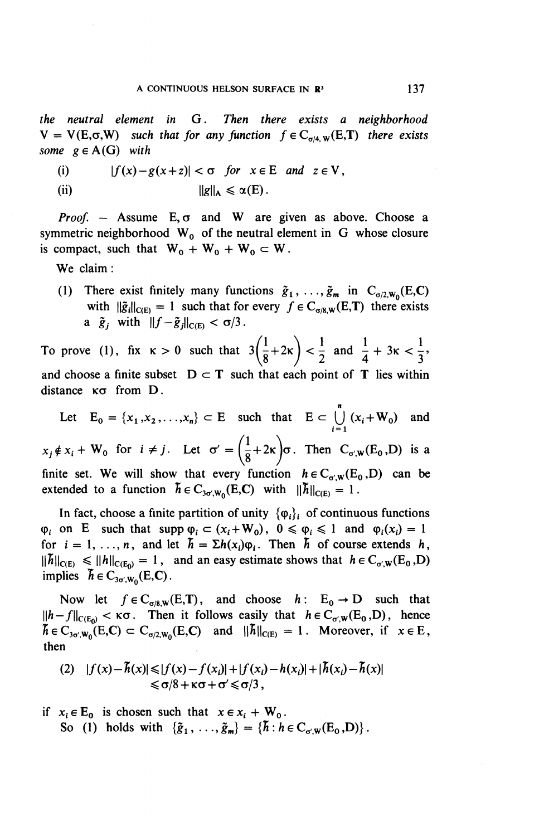*the neutral element in* G. *Then there exists a neighborhood*  $V = V(E, \sigma, W)$  such that for any function  $f \in C_{\sigma/4, W}(E, T)$  there exists *some*  $g \in A(G)$  *with* 

(i) 
$$
|f(x)-g(x+z)| < \sigma
$$
 for  $x \in E$  and  $z \in V$ ,  
(ii)  $||g||_A \leq \alpha(E)$ .

*Proof.* – Assume  $E, \sigma$  and W are given as above. Choose a symmetric neighborhood  $W_0$  of the neutral element in G whose closure is compact, such that  $W_0 + W_0 + W_0 \subset W$ .

**We** claim:

(1) There exist finitely many functions  $\tilde{g}_1, \ldots, \tilde{g}_m$  in  $C_{\sigma/2, w_0}(E,C)$ with  $\|\tilde{g}_i\|_{C(E)} = 1$  such that for every  $f \in C_{\sigma/8,W}(E,T)$  there exists a  $\tilde{g}_j$  with  $\|f-\tilde{g}_j\|_{C(E)} < \sigma/3$ .

To prove (1), fix  $\kappa > 0$  such that  $3(\frac{1}{8}+2\kappa) < \frac{1}{2}$  and  $\frac{1}{4}+3\kappa < \frac{1}{3}$ , and choose a finite subset  $D \subset T$  such that each point of T lies within distance  $\kappa\sigma$  from D.

Let  $E_0 = \{x_1, x_2,...,x_n\} \subset E$  such that  $E \subset \bigcup_{i=1}^n (x_i + W_0)$  and  $x_i \notin x_i + W_0$  for  $i \neq j$ . Let  $\sigma' = \left(\frac{1}{2}+2\kappa\right)\sigma$ . Then  $C_{\sigma,W}(E_0,D)$  is a  $\left(\frac{1}{8}+2\kappa\right)$ finite set. We will show that every function  $h \in C_{\sigma,W}(E_0,D)$  can be extended to a function  $\tilde{h} \in C_{3\sigma/W_0}(E,C)$  with  $||\tilde{h}||_{C(E)} = 1$ .

In fact, choose a finite partition of unity  $\{\varphi_i\}_i$  of continuous functions  $\varphi_i$  on E such that supp  $\varphi_i \subset (x_i+W_0)$ ,  $0 \le \varphi_i \le 1$  and  $\varphi_i(x_i) = 1$ for  $i = 1, ..., n$ , and let  $\tilde{h} = \sum h(x_i)\varphi_i$ . Then  $\tilde{h}$  of course extends h,  $\|\tilde{h}\|_{C(E)} \leq \|h\|_{C(E_0)} = 1$ , and an easy estimate shows that  $h \in C_{\sigma,w}(E_0, E)$ implies  $\vec{h} \in C_{3\sigma/\mathbf{W}_0}(\mathbf{E},\mathbf{C})$ .

Now let  $f \in C_{\sigma/8,W}(E,T)$ , and choose  $h: E_0 \to D$  such that  $||h-f||_{C(E_0)} < \kappa \sigma$ . Then it follows easily that  $h \in C_{\sigma',W}(E_0,D)$ , hence  $\tilde{h} \in C_{3\sigma/W_0}(E,C) \subset C_{\sigma/2,W_0}(E,C)$  and  $||\tilde{h}||_{C(E)} = 1$ . Moreover, if  $x \in E$ , **then**

$$
(2) |f(x) - \hbar(x)| \le |f(x) - f(x_i)| + |f(x_i) - h(x_i)| + |\hbar(x_i) - \hbar(x)|
$$
  
≤ σ/8 + κσ + σ' ≤ σ/3,

if 
$$
x_i \in E_0
$$
 is chosen such that  $x \in x_i + W_0$ .  
So (1) holds with  $\{\tilde{g}_1, \ldots, \tilde{g}_m\} = \{\tilde{h} : h \in C_{\sigma, W}(E_0, D)\}\.$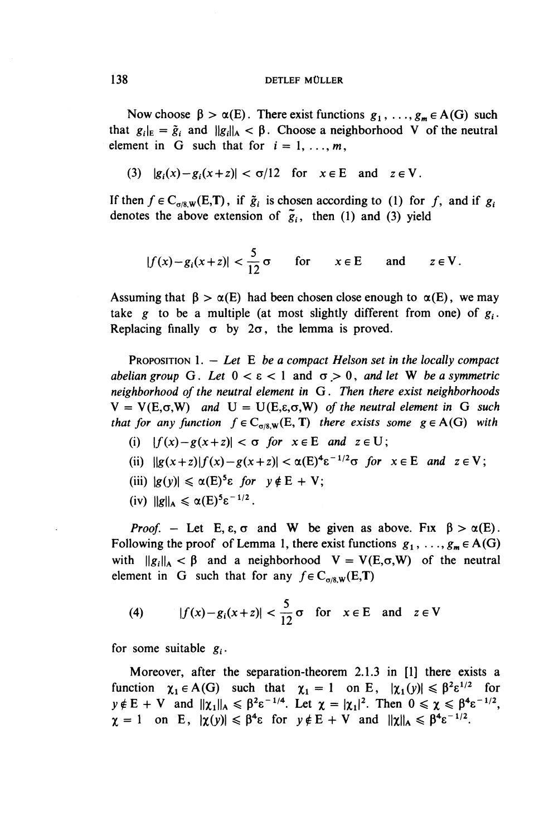Now choose  $\beta > \alpha(E)$ . There exist functions  $g_1, \ldots, g_m \in A(G)$  such that  $g_i|_E = \tilde{g}_i$  and  $||g_i||_A < \beta$ . Choose a neighborhood V of the neutral element in G such that for  $i = 1, \ldots, m$ ,

(3) 
$$
|g_i(x)-g_i(x+z)| < \sigma/12
$$
 for  $x \in E$  and  $z \in V$ .

If then  $f \in C_{\sigma/8W}(E,T)$ , if  $\tilde{g}_i$  is chosen according to (1) for f, and if  $g_i$ denotes the above extension of  $\tilde{g}_i$ , then (1) and (3) yield

$$
|f(x)-g_i(x+z)| < \frac{5}{12}\sigma \qquad \text{for} \qquad x \in E \qquad \text{and} \qquad z \in V.
$$

Assuming that  $\beta > \alpha(E)$  had been chosen close enough to  $\alpha(E)$ , we may take g to be a multiple (at most slightly different from one) of  $g_i$ . Replacing finally  $\sigma$  by  $2\sigma$ , the lemma is proved.

PROPOSITION 1. — *Let E be a compact Helson set in the locally compact abelian group* G. Let  $0 < \varepsilon < 1$  and  $\sigma > 0$ , and let W be a symmetric *neighborhood of the neutral element in G. Then there exist neighborhoods*  $V = V(E, \sigma, W)$  and  $U = U(E, \varepsilon, \sigma, W)$  of the neutral element in G such *that for any function*  $f \in C_{\sigma/8,W}(E, T)$  *there exists some*  $g \in A(G)$  *with* 

(i) 
$$
|f(x)-g(x+z)| < \sigma
$$
 for  $x \in E$  and  $z \in U$ ;

- (ii)  $\|g(x+z)f(x)-g(x+z)\|<\alpha(E)^{4}\varepsilon^{-1/2}\sigma$  for  $x\in E$  and  $z\in V$ ;
- (iii)  $|g(y)| \leq \alpha(E)^5 \varepsilon$  for  $y \notin E + V$ ;
- (iv)  $||g||_A \leq \alpha(E)^5 \varepsilon^{-1/2}$ .

*Proof.* – Let E,  $\varepsilon$ ,  $\sigma$  and W be given as above. Fix  $\beta > \alpha(E)$ . Following the proof of Lemma 1, there exist functions  $g_1, \ldots, g_m \in A(G)$ with  $||g_i||_A < \beta$  and a neighborhood  $V = V(E,\sigma,W)$  of the neutral element in G such that for any  $f \in C_{\sigma/8,W}(E,T)$ 

(4) 
$$
|f(x)-g_i(x+z)| < \frac{5}{12}\sigma
$$
 for  $x \in E$  and  $z \in V$ 

for some suitable  $g_i$ .

Moreover, after the separation-theorem 2.1.3 in [1] there exists a function  $\chi_1 \in A(G)$  such that  $\chi_1 = 1$  on E,  $|\chi_1(y)| \le \beta^2 \epsilon^{1/2}$  for  $y \notin E + V$  and  $||\chi_1||_A \le \beta^2 \varepsilon^{-1/4}$ . Let  $\chi = |\chi_1|^2$ . Then  $0 \le \chi \le \beta^4 \varepsilon^{-1/2}$ ,  $\chi = 1$  on E,  $|\chi(y)| \leq \beta^4 \varepsilon$  for  $y \notin E + V$  and  $||\chi||_A \leq \beta^4 \varepsilon^{-1/2}$ .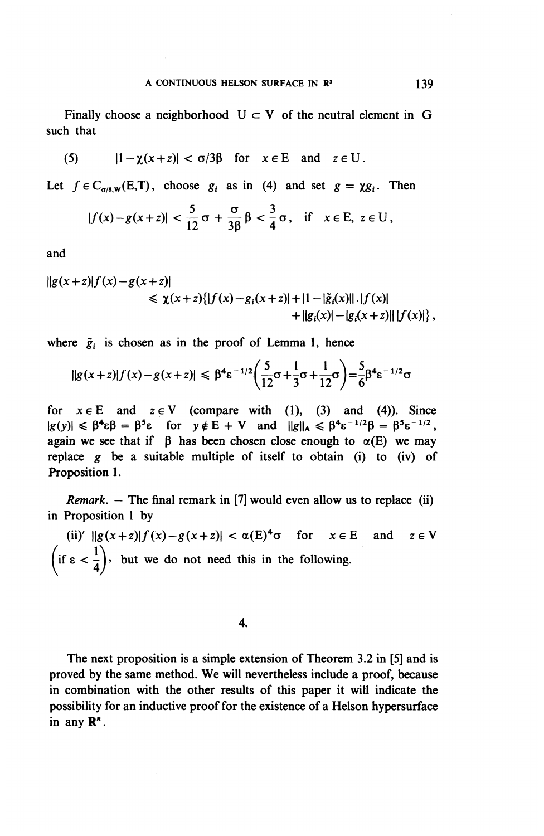Finally choose a neighborhood  $U \subset V$  of the neutral element in G such that

(5) 
$$
|1-\chi(x+z)| < \sigma/3\beta
$$
 for  $x \in E$  and  $z \in U$ .

Let  $f \in C_{\alpha/8}$   $w(E,T)$ , choose  $g_i$  as in (4) and set  $g = \chi g_i$ . Then

$$
|f(x)-g(x+z)|<\frac{5}{12}\sigma+\frac{\sigma}{3\beta}\beta<\frac{3}{4}\sigma,\quad\text{if}\quad x\in E,\ z\in U\,,
$$

and

$$
||g(x+z)|f(x)-g(x+z)|
$$
  
\n
$$
\leq \chi(x+z)\{|f(x)-g_i(x+z)|+|1-|\tilde{g}_i(x)||\cdot|f(x)|+||g_i(x)|-|g_i(x+z)||\cdot|f(x)|\},
$$

where  $\tilde{g}_i$  is chosen as in the proof of Lemma 1, hence

$$
||g(x+z)|f(x)-g(x+z)| \leq \beta^4 \varepsilon^{-1/2} \left(\frac{5}{12}\sigma + \frac{1}{3}\sigma + \frac{1}{12}\sigma\right) = \frac{5}{6}\beta^4 \varepsilon^{-1/2} \sigma
$$

for  $x \in E$  and  $z \in V$  (compare with (1), (3) and (4)). Since  $|g(y)| \leq \beta^4 \varepsilon \beta = \beta^5 \varepsilon$  for  $y \notin E + V$  and  $\|g\|_A \leq \beta^4 \varepsilon^{-1/2} \beta = \beta^5 \varepsilon^{-1/2}$ , again we see that if  $\beta$  has been chosen close enough to  $\alpha(E)$  we may replace g be a suitable multiple of itself to obtain (i) to (iv) of Proposition 1.

*Remark. -* The final remark in [7] would even allow us to replace (ii) in Proposition 1 by

(ii)'  $||g(x+z)||f(x)-g(x+z)|| < \alpha(E)^4\sigma$  for  $x \in E$  and  $z \in V$  $\left(\text{if } \epsilon < \frac{1}{4}\right)$ , but we do not need this in the following.

**4.**

The next proposition is a simple extension of Theorem 3.2 in [5] and is proved by the same method. **We** will nevertheless include a proof, because in combination with the other results of this paper it will indicate the possibility for an inductive proof for the existence of a Helson hypersurface in any R".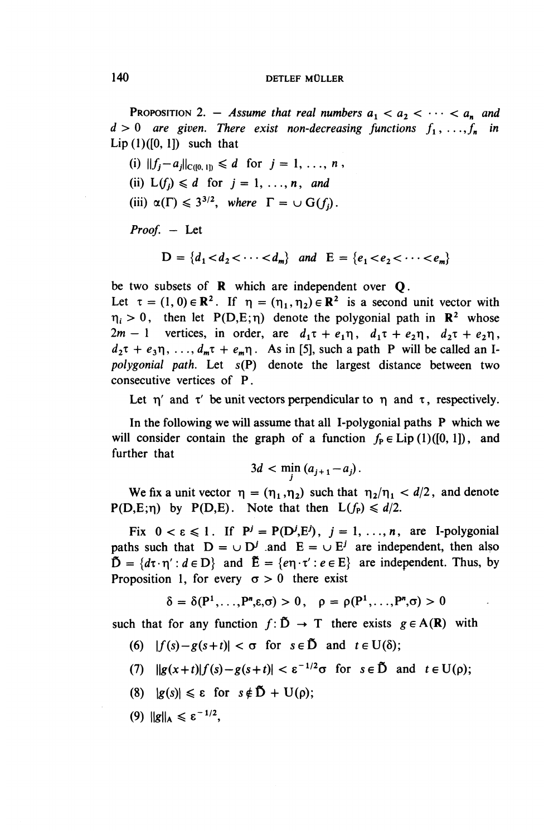PROPOSITION 2. – Assume that real numbers  $a_1 < a_2 < \cdots < a_n$  and  $d > 0$  are given. There exist non-decreasing functions  $f_1, \ldots, f_n$  in Lip $(1)([0, 1])$  such that

(i)  $||f_i - a_i||_{C([0,1])} \le d$  for  $j = 1, ..., n$ ,

- (ii)  $L(f_i) \leq d$  for  $j = 1, \ldots, n$ , and
- (iii)  $\alpha(\Gamma) \leq 3^{3/2}$ *, where*  $\Gamma = \cup G(f_i)$ .

Proof. - Let

$$
D = \{d_1 < d_2 < \cdots < d_m\} \quad \text{and} \quad E = \{e_1 < e_2 < \cdots < e_m\}
$$

be two subsets of R which are independent over Q.

Let  $\tau = (1, 0) \in \mathbb{R}^2$ . If  $\eta = (\eta_1, \eta_2) \in \mathbb{R}^2$  is a second unit vector with  $\eta_i > 0$ , then let P(D,E;  $\eta$ ) denote the polygonial path in  $\mathbb{R}^2$  whose  $2m - 1$  vertices, in order, are  $d_1\tau + e_1\eta$ ,  $d_1\tau + e_2\eta$ ,  $d_2\tau + e_2\eta$ ,  $d_2\tau + e_3\eta, \ldots, d_m\tau + e_m\eta$ . As in [5], such a path P will be called an I*polygonial path.* Let s(P) denote the largest distance between two consecutive vertices of P.

Let  $\eta'$  and  $\tau'$  be unit vectors perpendicular to  $\eta$  and  $\tau$ , respectively.

In the following we will assume that all I-polygonial paths P which we will consider contain the graph of a function  $f<sub>P</sub> \in Lip(1)([0, 1])$ , and further that

$$
3d < \min(a_{j+1}-a_j).
$$

We fix a unit vector  $\eta = (\eta_1, \eta_2)$  such that  $\eta_2/\eta_1 < d/2$ , and denote  $P(D,E;\eta)$  by  $P(D,E)$ . Note that then  $L(f_P) \leq d/2$ .

Fix  $0 < \varepsilon \le 1$ . If  $P^j = P(D^j, E^j)$ ,  $j = 1, ..., n$ , are I-polygonial paths such that  $D = \cup D^j$  and  $E = \cup E^j$  are independent, then also  $\tilde{D} = \{d\tau \cdot \eta' : d \in D\}$  and  $\tilde{E} = \{e\eta \cdot \tau' : e \in E\}$  are independent. Thus, by Proposition 1, for every  $\sigma > 0$  there exist

$$
\delta = \delta(P^1,\ldots,P^n,\varepsilon,\sigma) > 0, \quad \rho = \rho(P^1,\ldots,P^n,\sigma) > 0
$$

such that for any function  $f: \tilde{D} \to T$  there exists  $g \in A(\mathbb{R})$  with

- (6)  $|f(s)-g(s+t)| < \sigma$  for  $s \in \tilde{D}$  and  $t \in U(\delta)$ ;
- (7)  $\|g(x+t)|f(s)-g(s+t)| < \varepsilon^{-1/2}\sigma$  for  $s \in \tilde{D}$  and  $t \in U(\rho)$ ;
- (8)  $|g(s)| \leq \varepsilon$  for  $s \notin \mathbb{D} + \mathrm{U}(\rho);$
- (9)  $||g||_A \leqslant \varepsilon^{-1/2}$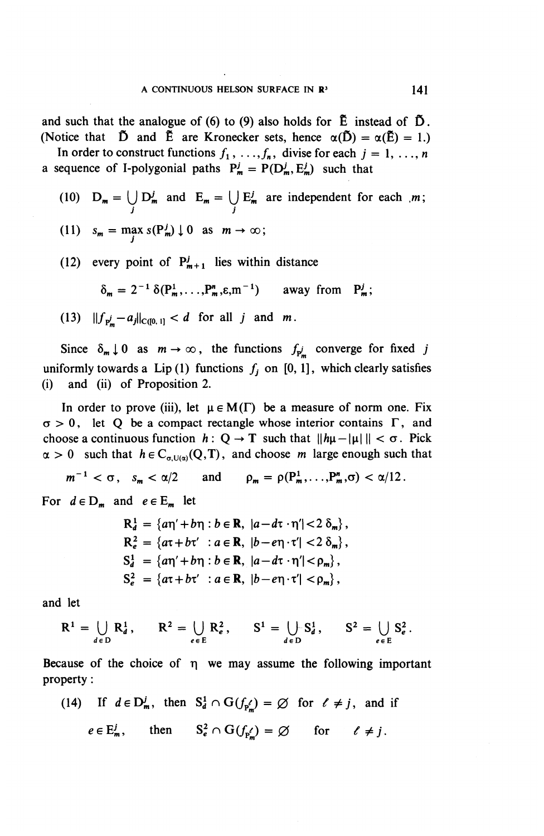and such that the analogue of (6) to (9) also holds for  $\tilde{E}$  instead of  $\tilde{D}$ . (Notice that  $\tilde{D}$  and  $\tilde{E}$  are Kronecker sets, hence  $\alpha(\tilde{D}) = \alpha(\tilde{E}) = 1$ .)

In order to construct functions  $f_1, \ldots, f_n$ , divise for each  $j = 1, \ldots, n$ a sequence of I-polygonial paths  $P^j_m = P(D^j_m, E^j_m)$  such that

- (10)  $D_m = (J D_m^j$  and  $E_m = (J E_m^j$  are independent for each  $m$ ; *J j*
- (11)  $s_m = \max_i s(P_m^j) \downarrow 0$  as  $m \to \infty;$
- (12) every point of  $P^j_{m+1}$  lies within distance

$$
\delta_m = 2^{-1} \delta(P_m^1, \ldots, P_m^n, \varepsilon, m^{-1}) \quad \text{away from } P_m^j;
$$

(13)  $||f_{p'_-}-a_j||_{C([0, 1])} < d$  for all j and m.

Since  $\delta_{m} \downarrow 0$  as  $m \to \infty$ , the functions  $f_{p'_{m}}$  converge for fixed *j* uniformly towards a Lip(1) functions  $f_j$  on [0, 1], which clearly satisfies (i) and (ii) of Proposition 2.

In order to prove (iii), let  $\mu \in M(\Gamma)$  be a measure of norm one. Fix  $\sigma > 0$ , let Q be a compact rectangle whose interior contains  $\Gamma$ , and choose a continuous function  $h: Q \to T$  such that  $||h\mu - |\mu||| < \sigma$ . Pick  $\alpha > 0$  such that  $h \in C_{\alpha,\mathrm{U}(\alpha)}(Q,T)$ , and choose *m* large enough such that

 $m^{-1} < \sigma$ ,  $s_m < \alpha/2$  and  $\rho_m = \rho(P_m^1, \ldots, P_m^n, \sigma) < \alpha/12$ .

For  $d \in D_m$  and  $e \in E_m$  let

$$
R_d^1 = \{a\eta' + b\eta : b \in \mathbf{R}, |a - d\tau \cdot \eta'| < 2 \delta_m\},
$$
  
\n
$$
R_e^2 = \{a\tau + b\tau' : a \in \mathbf{R}, |b - e\eta \cdot \tau'| < 2 \delta_m\},
$$
  
\n
$$
S_d^1 = \{a\eta' + b\eta : b \in \mathbf{R}, |a - d\tau \cdot \eta'| < \rho_m\},
$$
  
\n
$$
S_e^2 = \{a\tau + b\tau' : a \in \mathbf{R}, |b - e\eta \cdot \tau'| < \rho_m\},
$$

and let

$$
R^1 = \bigcup_{d \in D} R_d^1, \qquad R^2 = \bigcup_{e \in E} R_e^2, \qquad S^1 = \bigcup_{d \in D} S_d^1, \qquad S^2 = \bigcup_{e \in E} S_e^2.
$$

Because of the choice of  $\eta$  we may assume the following important property:

Property:

\n(14) If 
$$
d \in D_m^j
$$
, then  $S_d^1 \cap G(f_{p'_m}) = \emptyset$  for  $\ell \neq j$ , and if  $e \in E_m^j$ , then  $S_e^2 \cap G(f_{p'}) = \emptyset$  for  $\ell \neq j$ .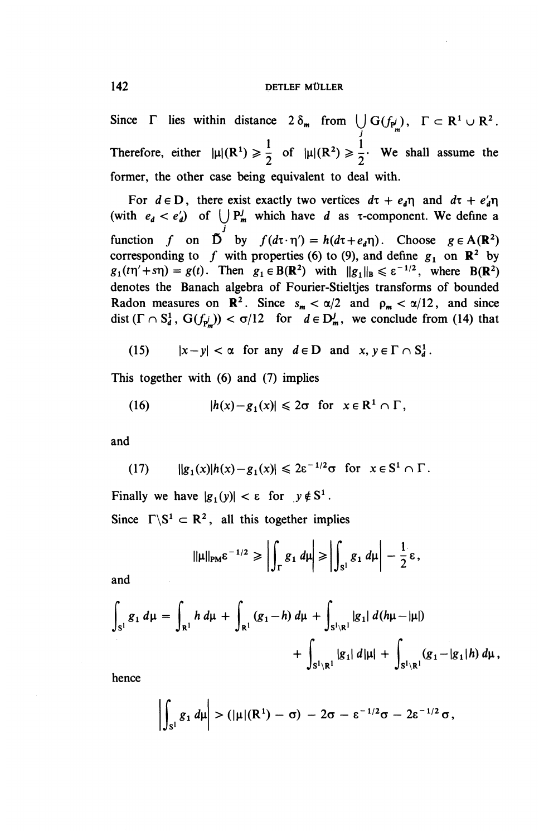Since  $\Gamma$  lies within distance  $2 \delta_m$  from  $\bigcup_i G(f_{p'_m}), \Gamma \subset \mathbb{R}^1 \cup \mathbb{R}^2$ . *j* Therefore, either  $|\mu|(R^1) \ge \frac{1}{2}$  of  $|\mu|(R^2) \ge \frac{1}{2}$ . We shall assume the former, the other case being equivalent to deal with.

For  $d \in D$ , there exist exactly two vertices  $d\tau + e_a\eta$  and  $d\tau + e'_a\eta$ (with  $e_d < e'_d$ ) of  $\bigcup P^j_m$  which have d as  $\tau$ -component. We define a *j* function f on  $\overrightarrow{D}$  by  $f(d\tau \cdot \eta') = h(d\tau + e_d\eta)$ . Choose  $g \in A(\mathbb{R}^2)$ function f on D by  $f(d\tau \cdot \eta') = h(d\tau + e_d\eta)$ . Choose  $g \in A(\mathbb{R}^2)$ <br>corresponding to f with properties (6) to (9), and define  $g_1$  on  $\mathbb{R}^2$  by  $g_1(t\eta' + s\eta) = g(t)$ . Then  $g_1 \in B(\mathbb{R}^2)$  with  $\|g_1\|_B \le \varepsilon^{-1/2}$ , where  $B(\mathbb{R}^2)$ denotes the Banach algebra of Fourier-Stieltjes transforms of bounded Radon measures on  $\mathbb{R}^2$ . Since  $s_m < \alpha/2$  and  $\rho_m < \alpha/12$ , and since dist  $(\Gamma \cap S_d^1, G(f_{p_m'})) < \sigma/12$  for  $d \in D_m^j$ , we conclude from (14) that

(15) 
$$
|x-y| < \alpha
$$
 for any  $d \in D$  and  $x, y \in \Gamma \cap S_d^1$ .

This together with (6) and (7) implies

(16) 
$$
|h(x)-g_1(x)| \leq 2\sigma \text{ for } x \in \mathbb{R}^1 \cap \Gamma,
$$

and

(17) 
$$
||g_1(x)|h(x)-g_1(x)| \leq 2\varepsilon^{-1/2}\sigma \text{ for } x \in S^1 \cap \Gamma.
$$

Finally we have  $|g_1(y)| < \varepsilon$  for  $y \notin S^1$ .

Since  $\Gamma \backslash S^1 \subset \mathbb{R}^2$ , all this together implies

$$
\|\mu\|_{\text{PM}}\varepsilon^{-1/2}\geqslant \left|\int_{\Gamma} g_1 \, d\mu\right|\geqslant \left|\int_{S^1} g_1 \, d\mu\right|-\frac{1}{2}\varepsilon,
$$

and

$$
\int_{S^1} g_1 d\mu = \int_{R^1} h d\mu + \int_{R^1} (g_1 - h) d\mu + \int_{S^1 \backslash R^1} |g_1| d(h\mu - |\mu|)
$$
  
+ 
$$
\int_{S^1 \backslash R^1} |g_1| d|\mu| + \int_{S^1 \backslash R^1} (g_1 - |g_1| h) d\mu,
$$

hence

$$
\left|\int_{S^1} g_1 d\mu\right| > (|\mu|(R^1) - \sigma) - 2\sigma - \varepsilon^{-1/2}\sigma - 2\varepsilon^{-1/2}\sigma,
$$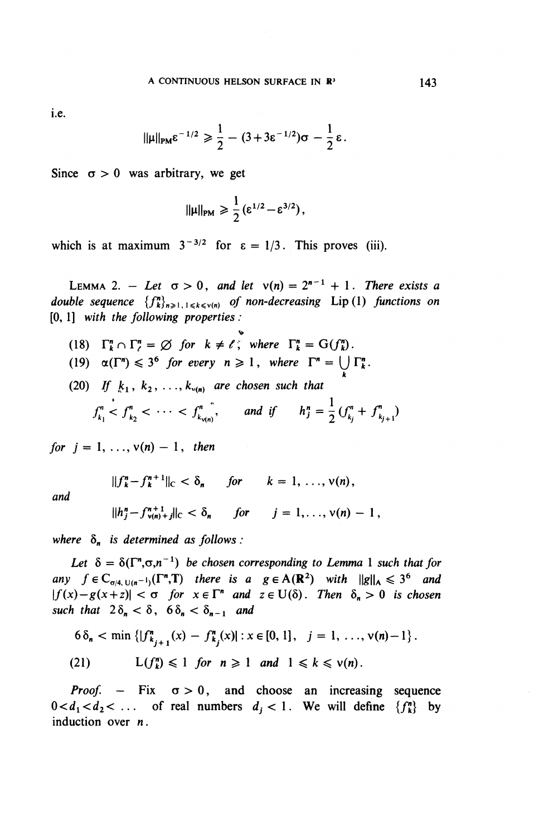i.e.

$$
\|\mu\|_{\text{PM}}\varepsilon^{-1/2}\geq \frac{1}{2}-(3+3\varepsilon^{-1/2})\sigma-\frac{1}{2}\varepsilon.
$$

Since  $\sigma > 0$  was arbitrary, we get

$$
\|\mu\|_{PM} \geqslant \frac{1}{2} \left(\epsilon^{1/2} - \epsilon^{3/2}\right),
$$

which is at maximum  $3^{-3/2}$  for  $\varepsilon = 1/3$ . This proves (iii).

LEMMA 2. - Let  $\sigma > 0$ , and let  $v(n) = 2^{n-1} + 1$ . There exists a *double sequence*  $\{f_{k}^n\}_{n\geqslant 1, 1\leqslant k\leqslant v(n)}$  *of non-decreasing* Lip(1) *functions on* [0, 1] *with the following properties :*

(18)  $\Gamma_k^n \cap \Gamma_l^n = \emptyset$  for  $k \neq \ell$ , where  $\Gamma_k^n = G(f_k^n)$ . (19)  $\alpha(\Gamma^n) \leq 3^6$  *for every n*  $\geq 1$ *, where*  $\Gamma^n = \bigcup_k \Gamma_k^n$ . (20) *If*  $k_1, k_2, ..., k_{\nu(n)}$  are chosen such that  $f_{k_1}^n < f_{k_2}^n < \cdots < f_{k_{\nu(n)}}^n$ , and if  $h_j^n = \frac{1}{2} (f_{k_j}^n + f_{k_{j+1}}^n)$ 

*for*  $j = 1, ..., v(n) - 1$ *, then* 

and

$$
||h_i^n - f_{\text{van}}^{n+1}||_C < \delta_n \quad \text{for} \quad i = 1, ..., \nu(n) - 1,
$$

 $||f_k^n - f_k^{n+1}||_{\mathbb{C}} < \delta_n$  for  $k = 1, \ldots, \nu(n)$ ,

where  $\delta_n$  is determined as follows :

Let  $\delta = \delta(\Gamma^n, \sigma, n^{-1})$  be chosen corresponding to Lemma 1 such that for *any*  $f \in C_{\sigma/4, U(n^{-1})}(\Gamma^n, \Gamma)$  there is a  $g \in A(R^2)$  with  $\|g\|_A \leq 3^6$  and  $|f(x)-g(x+z)| < \sigma$  for  $x \in \Gamma^n$  and  $z \in U(\delta)$ . Then  $\delta_n > 0$  is chosen *such that*  $2\delta_n < \delta$ ,  $6\delta_n < \delta_{n-1}$  *and* 

$$
6\delta_n < \min\left\{ |f_{k_{j+1}}^n(x) - f_{k_j}^n(x)| : x \in [0,1], \quad j = 1, \ldots, \nu(n)-1 \right\}.
$$

(21) 
$$
L(f_k^n) \leq 1 \text{ for } n \geq 1 \text{ and } 1 \leq k \leq v(n).
$$

*Proof.* – Fix  $\sigma > 0$ , and choose an increasing sequence  $0 < d_1 < d_2 < \ldots$  of real numbers  $d_j < 1$ . We will define  $\{f_k^n\}$  by induction over n.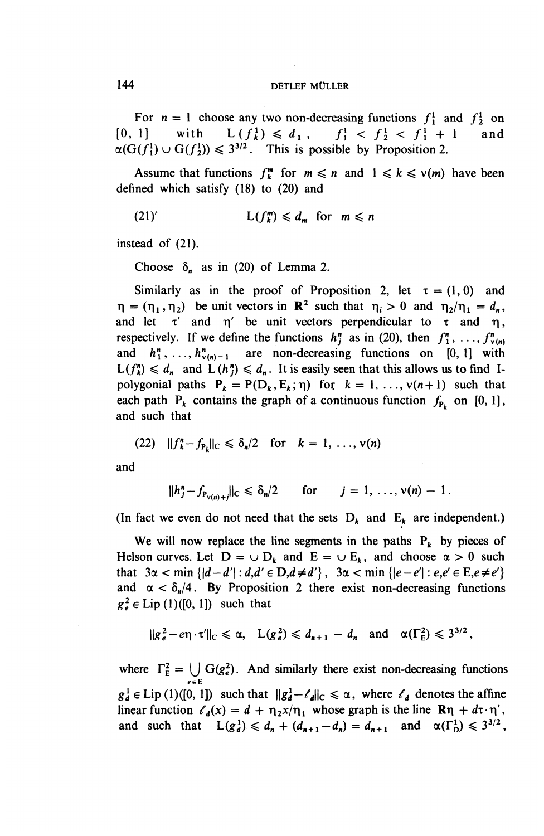For  $n = 1$  choose any two non-decreasing functions  $f_1^1$  and  $f_2^1$  on [0, 1] with  $L(f_k^1) \leq d_1$ ,  $f_1^1 < f_2^1 < f_1^1 + 1$  and  $f_2^1$  $\alpha(G(f_1^1) \cup G(f_2^1)) \leq 3^{3/2}$ . This is possible by Proposition 2.

Assume that functions  $f_k^m$  for  $m \leq n$  and  $1 \leq k \leq v(m)$  have been defined which satisfy (18) to (20) and

$$
(21)'\qquad L(f_k^m) \leq d_m \text{ for } m \leq n
$$

instead of (21).

Choose  $\delta_n$  as in (20) of Lemma 2.

Similarly as in the proof of Proposition 2, let  $\tau = (1,0)$  and similarly as in the proof of Proposition 2, let  $t = (1, 0)$  and  $\eta_2 / \eta_1 = d_n$ and let  $\tau'$  and  $\eta'$  be unit vectors perpendicular to  $\tau$  and  $\eta$ , respectively. If we define the functions  $h^n_i$  as in (20), then  $f^n_1, \ldots, f^n_{\nu(n)}$ and  $h_1^n, \ldots, h_{\nu(n)-1}^n$  are non-decreasing functions on [0, 1] with  $L(f_k^n) \leq d_n$  and  $L(h_i^n) \leq d_n$ . It is easily seen that this allows us to find Ipolygonial paths  $P_k = P(D_k, E_k; \eta)$  for  $k = 1, ..., v(n+1)$  such that each path  $P_k$  contains the graph of a continuous function  $f_{P_k}$  on [0, 1], and such that

(22) 
$$
||f_k^n - f_{p_k}||_C \le \delta_n/2
$$
 for  $k = 1, ..., v(n)$ 

**and**

$$
||h_j^n - f_{P_{\nu(n)+j}}||_C \le \delta_n/2
$$
 for  $j = 1, ..., \nu(n) - 1$ .

(In fact we even do not need that the sets  $D_k$  and  $E_k$  are independent.)

We will now replace the line segments in the paths  $P_k$  by pieces of Helson curves. Let  $D = \cup D_k$  and  $E = \cup E_k$ , and choose  $\alpha > 0$  such that  $3\alpha < \min{\{|d-d'| : d, d' \in D, d \neq d'\}}$ ,  $3\alpha < \min{\{|e-e'| : e,e' \in E, e \neq e'\}}$ and  $\alpha < \delta_n/4$ . By Proposition 2 there exist non-decreasing functions  $g_e^2 \in Lip(1)([0,1])$  such that

$$
||g_e^2 - e\eta \cdot \tau'||_C \le \alpha, \quad L(g_e^2) \le d_{n+1} - d_n \quad \text{and} \quad \alpha(\Gamma_E^2) \le 3^{3/2},
$$

where  $\Gamma_{\rm E}^2 = \bigcup_{\alpha \in \rm E} G(g_{\rm e}^2)$ . And similarly there exist non-decreasing function  $g^1_d \in \text{Lip}(1)([0, 1])$  such that  $||g^1_d - \ell_d||_c \le \alpha$ , where  $\ell_d$  denotes the affine linear function  $\ell_d(x) = d + \eta_2 x/\eta_1$  whose graph is the line  $\mathbf{R}\eta + d\tau \cdot \eta'$ , and such that  $L(g_d^1) \leq d_n + (d_{n+1}-d_n) = d_{n+1}$  and  $\alpha(\Gamma_0^1) \leq 3^{3/2}$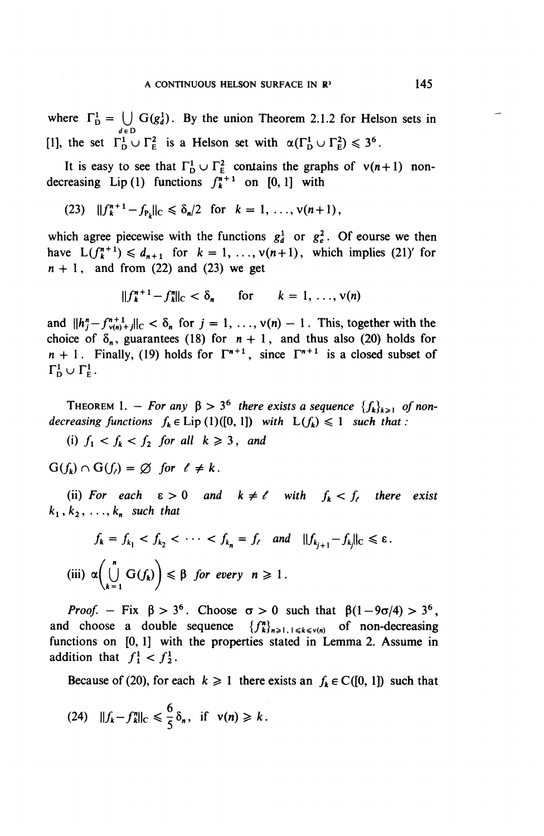where  $\Gamma_{\text{D}}^1 = \bigcup_{d \in \text{D}} G(g_d^1)$ . By the union Theorem 2.1.2 for Helson sets in [1], the set  $\Gamma^1_{\rm p} \cup \Gamma^2_{\rm F}$  is a Helson set with  $\alpha(\Gamma^1_{\rm p} \cup \Gamma^2_{\rm F}) \leq 3^6$ .

It is easy to see that  $\Gamma_{\text{D}}^1 \cup \Gamma_{\text{E}}^2$  contains the graphs of  $v(n+1)$  nondecreasing Lip(1) functions  $f^{n+1}$  on [0,1] with

(23) 
$$
||f_k^{n+1} - f_{P_k}||_C \le \delta_n/2
$$
 for  $k = 1, ..., v(n+1)$ ,

which agree piecewise with the functions  $g_d^1$  or  $g_e^2$ . Of course we then have  $L(f_k^{n+1}) \leq d_{n+1}$  for  $k = 1, ..., v(n+1)$ , which implies (21)' for  $n+1$ , and from (22) and (23) we get

$$
||f_k^{n+1} - f_k^n||_C < \delta_n
$$
 for  $k = 1, ..., v(n)$ 

and  $||h_j^n - f_{\nu(n)+j}^{n+1}||_C < \delta_n$  for  $j = 1, ..., \nu(n) - 1$ . This, together with the choice of  $\delta_n$ , guarantees (18) for  $n+1$ , and thus also (20) holds for *n* + 1. Finally, (19) holds for  $\Gamma^{n+1}$ , since  $\Gamma^{n+1}$  is a closed subset of  $n+1$ .  $\Gamma_{\rm D}^1 \cup \Gamma_{\rm E}^1$ .

THEOREM 1. – For any  $\beta > 3^6$  there exists a sequence  $\{f_k\}_{k \geq 1}$  of non*decreasing functions*  $f_k \in \text{Lip (1)}([0, 1])$  *with*  $L(f_k) \leq 1$  *such that :* 

(i)  $f_1 < f_k < f_2$  for all  $k \geq 3$ , and

 $G(f_k) \cap G(f) = \emptyset$  for  $\ell \neq k$ .

(ii) For each  $\varepsilon > 0$  and  $k \neq \ell$  with  $f_k < f_{\ell}$  there exist  $k_1$ ,  $k_2$ , ...,  $k_n$  such that

$$
f_k = f_{k_1} < f_{k_2} < \cdots < f_{k_n} = f_{\ell} \quad \text{and} \quad ||f_{k_{j+1}} - f_{k_j}||_{\mathbb{C}} \leq \varepsilon.
$$
\n(iii)  $\alpha \left( \bigcup_{k=1}^n G(f_k) \right) \leq \beta \quad \text{for every} \quad n \geq 1.$ 

Proof. – Fix  $\beta > 3^6$ . Choose  $\sigma > 0$  such that  $\beta(1 - 9\sigma/4) > 3^6$ and choose a double sequence  $\{f_{k}^{n}\}_{n\geq1,1\leq k\leq v(n)}$  of non-decreasing functions on [0, 1] with the properties stated in Lemma 2. Assume in addition that  $f_1^1 < f_2^1$ .

Because of (20), for each  $k \ge 1$  there exists an  $f_k \in C([0, 1])$  such that

$$
(24) \quad \|f_k - f_k^n\|_{\mathcal{C}} \leq \frac{6}{5} \delta_n, \text{ if } \nu(n) \geq k.
$$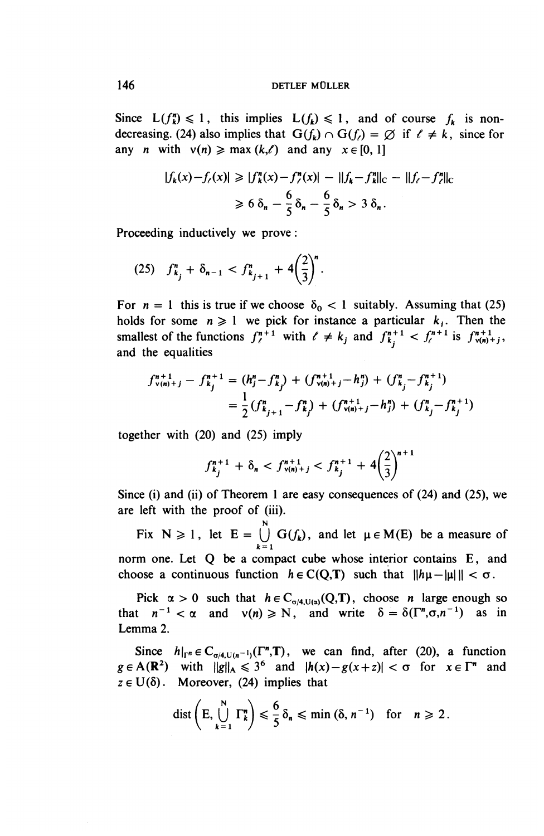Since  $L(f_k^n) \leq 1$ , this implies  $L(f_k) \leq 1$ , and of course  $f_k$  is nondecreasing. (24) also implies that  $G(f_k) \cap G(f) = \emptyset$  if  $\ell \neq k$ , since for any *n* with  $v(n) \geq \max(k,\ell)$  and any  $x \in [0, 1]$ 

$$
|f_k(x) - f_{\ell}(x)| \ge |f_k^n(x) - f_{\ell}^n(x)| - ||f_k - f_k^n||_{C} - ||f_{\ell} - f_{\ell}^n||_{C}
$$
  
\n
$$
\ge 6 \delta_n - \frac{6}{5} \delta_n - \frac{6}{5} \delta_n > 3 \delta_n.
$$

Proceeding inductively we prove:

$$
(25) \quad f_{k_j}^n + \delta_{n-1} < f_{k_{j+1}}^n + 4\left(\frac{2}{3}\right)^n.
$$

For  $n = 1$  this is true if we choose  $\delta_0 < 1$  suitably. Assuming that (25) holds for some  $n \geq 1$  we pick for instance a particular  $k_i$ . Then the holds for some  $n \ge 1$  we pick for instance a particular  $k_i$ . Then the smallest of the functions  $f^{n+1}_\ell$  with  $\ell \ne k_j$  and  $f^{n+1}_{k_i} < f^{n+1}_\ell$  is  $f^{n+1}_{v(n)+j}$ , and the equalities

$$
f_{v(n)+j}^{n+1} - f_{k_j}^{n+1} = (h_j^n - f_{k_j}^n) + (f_{v(n)+j}^{n+1} - h_j^n) + (f_{k_j}^n - f_{k_j}^{n+1})
$$
  
= 
$$
\frac{1}{2} (f_{k_{j+1}}^n - f_{k_j}^n) + (f_{v(n)+j}^{n+1} - h_j^n) + (f_{k_j}^n - f_{k_j}^{n+1})
$$

together with (20) and (25) imply

$$
f_{k_j}^{n+1} + \delta_n < f_{\nu(n)+j}^{n+1} < f_{k_j}^{n+1} + 4\left(\frac{2}{3}\right)^{n+1}
$$

Since (i) and (ii) of Theorem 1 are easy consequences of (24) and (25), we are left with the proof of (iii).

Fix  $N \ge 1$ , let  $E = \bigcup_{k=1}^{N} G(f_k)$ , and let  $\mu \in M(E)$  be a measure of norm one. Let Q be a compact cube whose interior contains E, and choose a continuous function  $h \in C(Q,T)$  such that  $||h\mu - |\mu||| < \sigma$ .

Pick  $\alpha > 0$  such that  $h \in C_{\alpha/4,\mathrm{U}(\alpha)}(Q,T)$ , choose *n* large enough so that  $n^{-1} < \alpha$  and  $v(n) \ge N$ , and write  $\delta = \delta(\Gamma^n, \sigma, n^{-1})$  as in Lemma 2.

Since  $h|_{\Gamma^n} \in C_{\sigma/4, U(n^{-1})}(\Gamma^n, T)$ , we can find, after (20), a function  $g \in A(\mathbb{R}^2)$  with  $\|g\|_A \leq 3^6$  and  $|h(x)-g(x+z)| < \sigma$  for  $x \in \Gamma^n$  and  $z \in U(\delta)$ . Moreover, (24) implies that

$$
\text{dist}\left(E,\bigcup_{k=1}^N\Gamma_k^n\right)\leqslant\frac{6}{5}\,\delta_n\leqslant\min\left(\delta,n^{-1}\right)\quad\text{for}\quad n\geqslant 2\,.
$$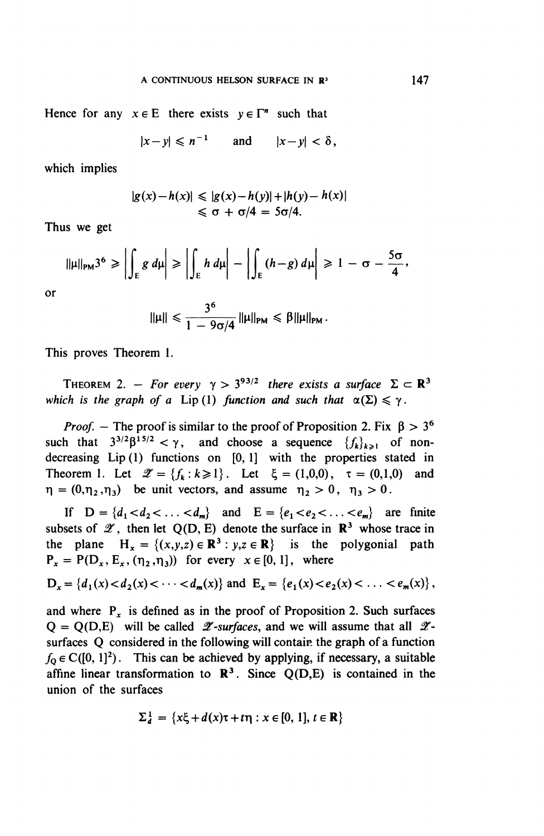#### A CONTINUOUS HELSON SURFACE IN **R<sup>3</sup>**

Hence for any  $x \in E$  there exists  $y \in \Gamma^n$  such that

$$
|x-y| \leqslant n^{-1} \qquad \text{and} \qquad |x-y| < \delta,
$$

which implies

$$
|g(x)-h(x)| \leq |g(x)-h(y)|+|h(y)-h(x)|
$$
  

$$
\leq \sigma + \sigma/4 = 5\sigma/4.
$$

Thus we get

$$
\|\mu\|_{PM} 3^6 \ge \left| \int_E g \ d\mu \right| \ge \left| \int_E h \ d\mu \right| - \left| \int_E (h-g) \ d\mu \right| \ge 1 - \sigma - \frac{5\sigma}{4},
$$

or

$$
\|\mu\| \leqslant \frac{3^6}{1-9\sigma/4} \|\mu\|_{\text{PM}} \leqslant \beta \|\mu\|_{\text{PM}}.
$$

This proves Theorem 1.

THEOREM 2. – For every  $\gamma > 3^{93/2}$  there exists a surface  $\Sigma \subset \mathbb{R}^3$ which is the graph of a Lip(1) function and such that  $\alpha(\Sigma) \le \gamma$ .

*Proof.* – The proof is similar to the proof of Proposition 2. Fix  $\beta > 3^6$ such that  $3^{3/2}\beta^{15/2} < \gamma$ , and choose a sequence  $\{f_k\}_{k\geqslant 1}$  of nondecreasing Lip (1) functions on [0, 1] with the properties stated in Theorem 1. Let  $\mathscr{Z} = \{f_k : k \ge 1\}$ . Let  $\xi = (1,0,0), \tau = (0,1,0)$  and  $\eta = (0,\eta_2,\eta_3)$  be unit vectors, and assume  $\eta_2 > 0$ ,  $\eta_3 > 0$ .

If  $D = \{d_1 < d_2 < \ldots < d_m\}$  and  $E = \{e_1 < e_2 < \ldots < e_m\}$  are finite subsets of  $\mathscr{Z}$ , then let Q(D, E) denote the surface in  $\mathbb{R}^3$  whose trace in the plane  $H_x = \{(x,y,z) \in \mathbb{R}^3 : y,z \in \mathbb{R}\}$  is the polygonial path  $P_x = P(D_x, E_x, (\eta_2, \eta_3))$  for every  $x \in [0,1]$ , where

$$
D_x = \{d_1(x) < d_2(x) < \cdots < d_m(x)\} \text{ and } E_x = \{e_1(x) < e_2(x) < \cdots < e_m(x)\},
$$

and where  $P_x$  is defined as in the proof of Proposition 2. Such surfaces  $Q = Q(D, E)$  will be called *L*-surfaces, and we will assume that all *L*surfaces Q considered in the following will contain the graph of a function  $f_0 \in C([0, 1]^2)$ . This can be achieved by applying, if necessary, a suitable affine linear transformation to  $\mathbb{R}^3$ . Since  $Q(D,E)$  is contained in the union of the surfaces

$$
\Sigma_d^1 = \{x\xi + d(x)\tau + t\eta : x \in [0, 1], t \in \mathbb{R}\}
$$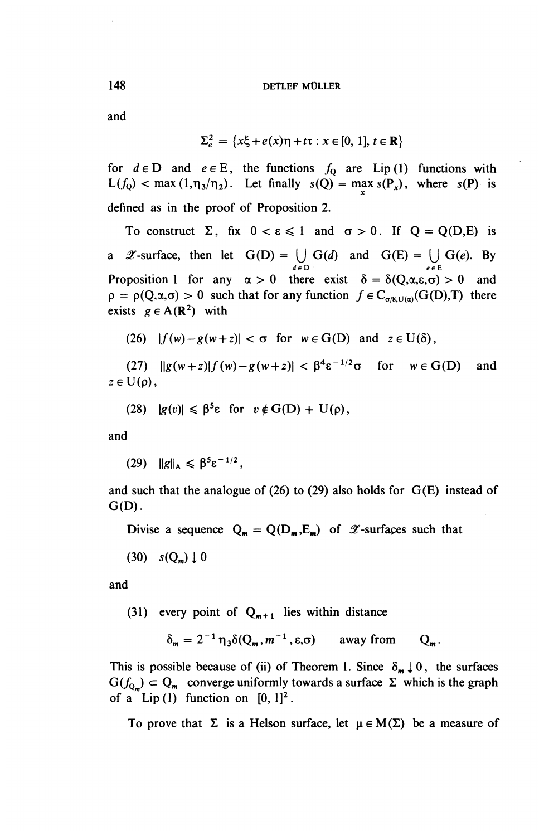and

$$
\Sigma_e^2 = \{x\xi + e(x)\eta + t\tau : x \in [0, 1], t \in \mathbb{R}\}
$$

for  $d \in D$  and  $e \in E$ , the functions  $f_0$  are Lip(1) functions with  $L(f_Q) < \max(1,\eta_3/\eta_2)$ . Let finally  $s(Q) = \max_x s(P_x)$ , where  $s(P)$  is defined as in the proof of Proposition 2.

To construct  $\Sigma$ , fix  $0 < \varepsilon \le 1$  and  $\sigma > 0$ . If  $Q = Q(D,E)$  is a  $\mathscr{Z}$ -surface, then let  $G(D) = \bigcup G(d)$  and  $G(E) = \bigcup G(e)$ . By *d e D eeE* Proposition 1 for any  $\alpha > 0$  there exist  $\delta = \delta(Q, \alpha, \epsilon, \sigma) > 0$  and  $\rho = \rho(Q, \alpha, \sigma) > 0$  such that for any function  $f \in C_{\sigma/8, U(\alpha)}(G(D),T)$  there exists  $g \in A(\mathbb{R}^2)$  with

(26)  $|f(w)-g(w+z)| < \sigma$  for  $w \in G(D)$  and  $z \in U(\delta)$ ,

(27)  $||g(w+z)|f(w)-g(w+z)| < \beta^4 \varepsilon^{-1/2} \sigma$  for  $w \in G(D)$  and  $z \in U(\rho)$ ,

(28) 
$$
|g(v)| \leq \beta^5 \varepsilon
$$
 for  $v \notin G(D) + U(\rho)$ ,

**and**

(29)  $\|g\|_{A} \leq \beta^5 \varepsilon^{-1/2}$ ,

and such that the analogue of  $(26)$  to  $(29)$  also holds for  $G(E)$  instead of  $G(D)$ .

Divise a sequence  $Q_m = Q(D_m, E_m)$  of  $\mathscr Z$ -surfaces such that

 $(30)$   $s(Q_m) \downarrow 0$ 

and

(31) every point of  $Q_{m+1}$  lies within distance

$$
\delta_m = 2^{-1} \eta_3 \delta(Q_m, m^{-1}, \varepsilon, \sigma) \quad \text{away from} \quad Q_m.
$$

This is possible because of (ii) of Theorem 1. Since  $\delta_{m} \downarrow 0$ , the surfaces  $G(f_{Q_m}) \subset Q_m$  converge uniformly towards a surface  $\Sigma$  which is the graph of a Lip(1) function on  $[0, 1]^2$ 

To prove that  $\Sigma$  is a Helson surface, let  $\mu \in M(\Sigma)$  be a measure of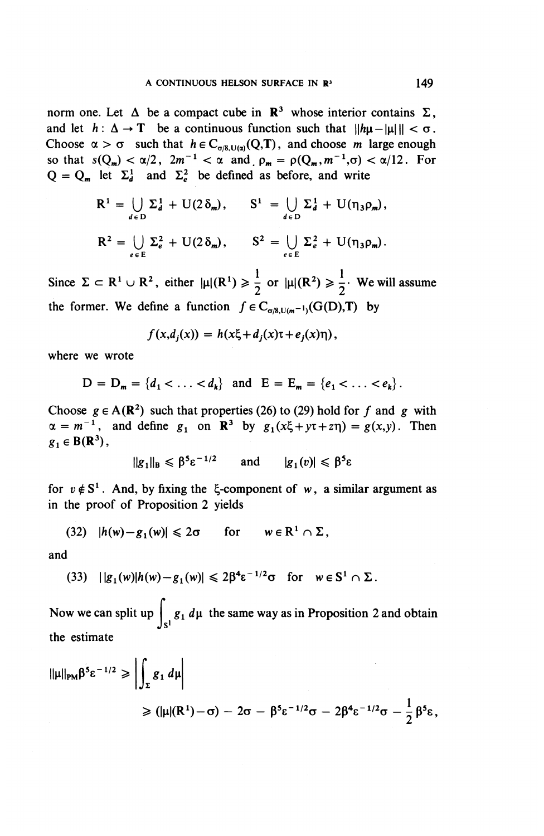norm one. Let  $\Delta$  be a compact cube in  $\mathbb{R}^3$  whose interior contains  $\Sigma$ , and let  $h: \Delta \to T$  be a continuous function such that  $||h\mu - |\mu||| < \sigma$ . Choose  $\alpha > \sigma$  such that  $h \in C_{\sigma/8,U(\alpha)}(Q,T)$ , and choose m large enough so that  $s(Q_m) < \alpha/2$ ,  $2m^{-1} < \alpha$  and  $\rho_m = \rho(Q_m,m^{-1},\sigma) < \alpha/12$ . For  $Q = Q_m$  let  $\Sigma_d^1$  and  $\Sigma_e^2$  be defined as before, and write

$$
R^{1} = \bigcup_{d \in D} \Sigma_{d}^{1} + U(2 \delta_{m}), \qquad S^{1} = \bigcup_{d \in D} \Sigma_{d}^{1} + U(\eta_{3} \rho_{m}),
$$
  

$$
R^{2} = \bigcup_{e \in E} \Sigma_{e}^{2} + U(2 \delta_{m}), \qquad S^{2} = \bigcup_{e \in E} \Sigma_{e}^{2} + U(\eta_{3} \rho_{m}).
$$

Since  $\Sigma \subset \mathbb{R}^1 \cup \mathbb{R}^2$ , either  $|\mu|(R^1) \geq \frac{1}{2}$  or  $|\mu|(R^2) \geq \frac{1}{2}$ . We will assume the former. We define a function  $f \in C_{\sigma/8, U(m^{-1})}(G(D),T)$  by

$$
f(x,d_j(x)) = h(x\xi + d_j(x)\tau + e_j(x)\eta),
$$

where we wrote

$$
D = D_m = \{d_1 < \ldots < d_k\} \text{ and } E = E_m = \{e_1 < \ldots < e_k\}.
$$

Choose  $g \in A(\mathbb{R}^2)$  such that properties (26) to (29) hold for f and g with  $\alpha = m^{-1}$ , and define  $g_1$  on **R**<sup>3</sup> by  $g_1(x\xi+y\tau+z\eta) = g(x,y)$ . Then  $g_1 \in B(\mathbb{R}^3)$ , and  $|g_1(v)| \leq \beta^5 \varepsilon$ 

$$
||g_1||_B \leq \beta^5 \varepsilon^{-1/2}
$$
 and  $|g_1(v)| \leq \beta^5 \varepsilon$ 

for  $v \notin S^1$ . And, by fixing the  $\xi$ -component of w, a similar argument as in the proof of Proposition 2 yields

(32) 
$$
|h(w)-g_1(w)| \leq 2\sigma
$$
 for  $w \in \mathbb{R}^1 \cap \Sigma$ ,

and

(33) 
$$
||g_1(w)|h(w)-g_1(w)| \leq 2\beta^4 \varepsilon^{-1/2} \sigma \text{ for } w \in S^1 \cap \Sigma.
$$

Now we can split up  $\begin{array}{c|c} g_1 \, d\mu \end{array}$  the same way as in Proposition 2 and obtain Jsi the estimate

$$
\|\mu\|_{PM}\beta^5 \varepsilon^{-1/2} \geq \left| \int_{\Sigma} g_1 d\mu \right|
$$
  
 
$$
\geq (\|\mu|(R^1) - \sigma) - 2\sigma - \beta^5 \varepsilon^{-1/2} \sigma - 2\beta^4 \varepsilon^{-1/2} \sigma - \frac{1}{2} \beta^5 \varepsilon,
$$